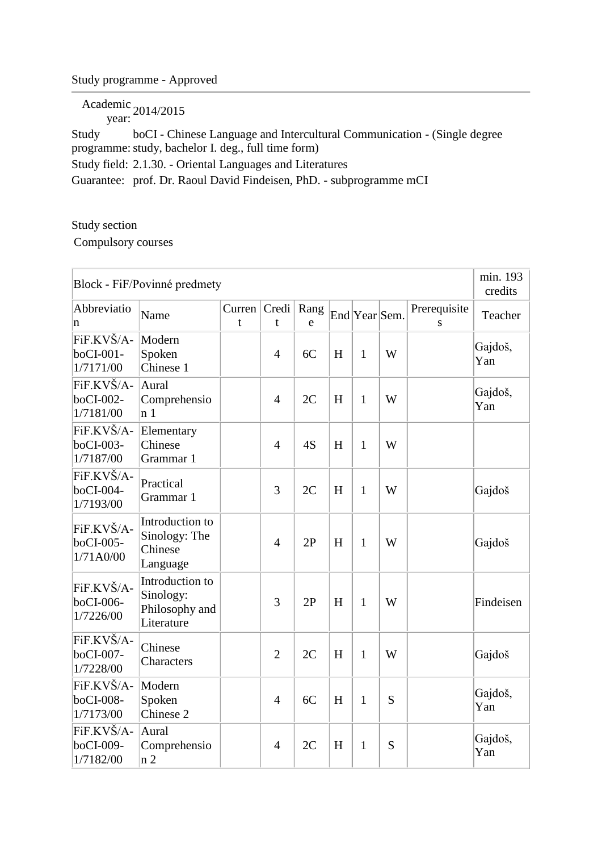## Study programme - Approved

Academic year: 2014/2015

Study programme: study, bachelor I. deg., full time form) boCI - Chinese Language and Intercultural Communication - (Single degree Study field: 2.1.30. - Oriental Languages and Literatures Guarantee: prof. Dr. Raoul David Findeisen, PhD. - subprogramme mCI

Study section

Compulsory courses

| Block - FiF/Povinné predmety         |                                                              |              |                |           |   |               |   |                   |                |  |
|--------------------------------------|--------------------------------------------------------------|--------------|----------------|-----------|---|---------------|---|-------------------|----------------|--|
| Abbreviatio<br>n                     | Name                                                         | Current<br>t | Credi<br>t     | Rang<br>e |   | End Year Sem. |   | Prerequisite<br>S | Teacher        |  |
| FiF.KVŠ/A-<br>boCI-001-<br>1/7171/00 | Modern<br>Spoken<br>Chinese 1                                |              | $\overline{4}$ | 6C        | H | $\mathbf{1}$  | W |                   | Gajdoš,<br>Yan |  |
| FiF.KVŠ/A-<br>boCI-002-<br>1/7181/00 | Aural<br>Comprehensio<br>n <sub>1</sub>                      |              | $\overline{4}$ | 2C        | H | $\mathbf{1}$  | W |                   | Gajdoš,<br>Yan |  |
| FiF.KVŠ/A-<br>boCI-003-<br>1/7187/00 | Elementary<br>Chinese<br>Grammar 1                           |              | $\overline{4}$ | 4S        | H | $\mathbf{1}$  | W |                   |                |  |
| FiF.KVŠ/A-<br>boCI-004-<br>1/7193/00 | Practical<br>Grammar 1                                       |              | 3              | 2C        | H | $\mathbf{1}$  | W |                   | Gajdoš         |  |
| FiF.KVŠ/A-<br>boCI-005-<br>1/71A0/00 | Introduction to<br>Sinology: The<br>Chinese<br>Language      |              | $\overline{4}$ | 2P        | H | 1             | W |                   | Gajdoš         |  |
| FiF.KVŠ/A-<br>boCI-006-<br>1/7226/00 | Introduction to<br>Sinology:<br>Philosophy and<br>Literature |              | 3              | 2P        | H | 1             | W |                   | Findeisen      |  |
| FiF.KVŠ/A-<br>boCI-007-<br>1/7228/00 | Chinese<br>Characters                                        |              | $\overline{2}$ | 2C        | H | $\mathbf{1}$  | W |                   | Gajdoš         |  |
| FiF.KVŠ/A-<br>boCI-008-<br>1/7173/00 | Modern<br>Spoken<br>Chinese 2                                |              | $\overline{4}$ | 6C        | H | $\mathbf{1}$  | S |                   | Gajdoš,<br>Yan |  |
| FiF.KVŠ/A-<br>boCI-009-<br>1/7182/00 | Aural<br>Comprehensio<br>n <sub>2</sub>                      |              | $\overline{4}$ | 2C        | H | $\mathbf{1}$  | S |                   | Gajdoš,<br>Yan |  |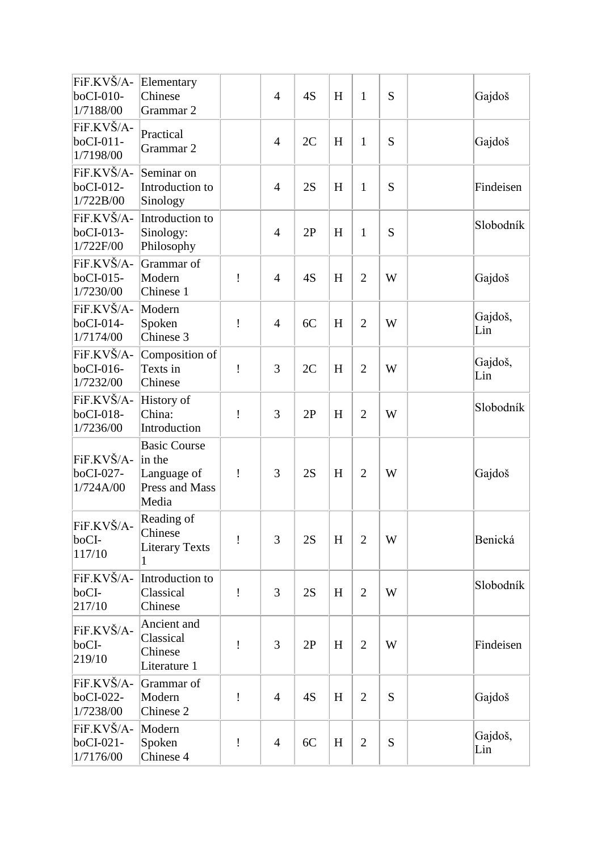| FiF.KVŠ/A-<br>boCI-010-<br>1/7188/00 | Elementary<br>Chinese<br>Grammar 2                                      |   | $\overline{4}$ | 4S | H | $\mathbf{1}$   | S | Gajdoš         |
|--------------------------------------|-------------------------------------------------------------------------|---|----------------|----|---|----------------|---|----------------|
| FiF.KVŠ/A-<br>boCI-011-<br>1/7198/00 | Practical<br>Grammar 2                                                  |   | $\overline{4}$ | 2C | H | $\mathbf{1}$   | S | Gajdoš         |
| FiF.KVŠ/A-<br>boCI-012-<br>1/722B/00 | Seminar on<br>Introduction to<br>Sinology                               |   | $\overline{4}$ | 2S | H | $\mathbf{1}$   | S | Findeisen      |
| FiF.KVŠ/A-<br>boCI-013-<br>1/722F/00 | Introduction to<br>Sinology:<br>Philosophy                              |   | $\overline{4}$ | 2P | H | $\mathbf{1}$   | S | Slobodník      |
| FiF.KVŠ/A-<br>boCI-015-<br>1/7230/00 | Grammar of<br>Modern<br>Chinese 1                                       | Ţ | $\overline{4}$ | 4S | H | $\overline{2}$ | W | Gajdoš         |
| FiF.KVŠ/A-<br>boCI-014-<br>1/7174/00 | Modern<br>Spoken<br>Chinese 3                                           | ļ | $\overline{4}$ | 6C | H | $\overline{2}$ | W | Gajdoš,<br>Lin |
| FiF.KVŠ/A-<br>boCI-016-<br>1/7232/00 | Composition of<br>Texts in<br>Chinese                                   | ļ | 3              | 2C | H | $\overline{2}$ | W | Gajdoš,<br>Lin |
| FiF.KVŠ/A-<br>boCI-018-<br>1/7236/00 | History of<br>China:<br>Introduction                                    | ļ | 3              | 2P | H | $\overline{2}$ | W | Slobodník      |
| FiF.KVŠ/A-<br>boCI-027-<br>1/724A/00 | <b>Basic Course</b><br>in the<br>Language of<br>Press and Mass<br>Media | Ţ | 3              | 2S | H | $\overline{2}$ | W | Gajdoš         |
| FiF.KVŠ/A-<br>boCI-<br>117/10        | Reading of<br>Chinese<br>Literary Texts                                 | Ţ | 3              | 2S | H | $\overline{2}$ | W | Benická        |
| FiF.KVŠ/A-<br>boCI-<br> 217/10       | Introduction to<br>Classical<br>Chinese                                 | ı | 3              | 2S | H | $\overline{2}$ | W | Slobodník      |
| FiF.KVŠ/A-<br>boCI-<br>219/10        | Ancient and<br>Classical<br>Chinese<br>Literature 1                     | I | 3              | 2P | H | $\overline{2}$ | W | Findeisen      |
| FiF.KVŠ/A-<br>boCI-022-<br>1/7238/00 | Grammar of<br>Modern<br>Chinese 2                                       | Ţ | $\overline{4}$ | 4S | H | $\overline{2}$ | S | Gajdoš         |
| FiF.KVŠ/A-<br>boCI-021-<br>1/7176/00 | Modern<br>Spoken<br>Chinese 4                                           | ļ | $\overline{4}$ | 6C | H | $\overline{2}$ | S | Gajdoš,<br>Lin |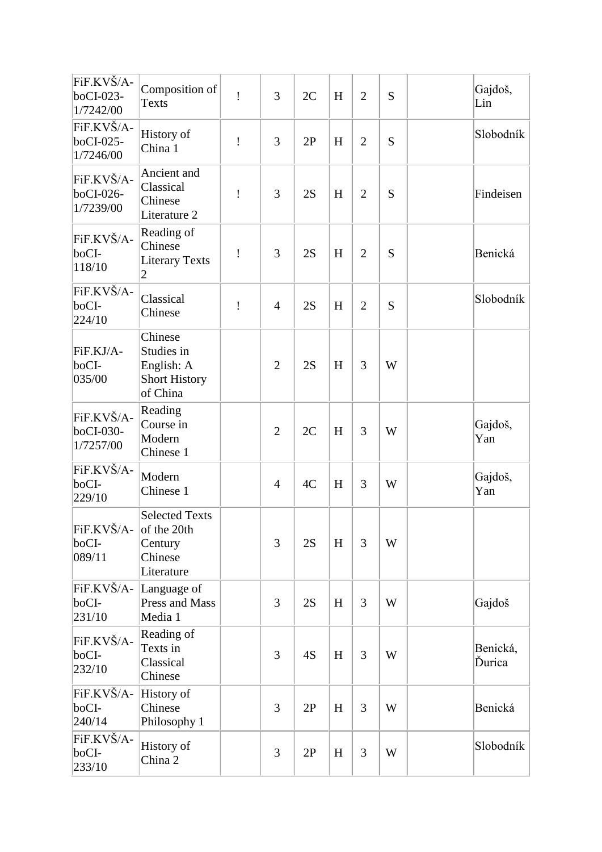| FiF.KVŠ/A-<br>boCI-023-<br>1/7242/00 | Composition of<br><b>Texts</b>                                           | Ţ | 3              | 2C | H | $\overline{2}$ | S | Gajdoš,<br>Lin     |
|--------------------------------------|--------------------------------------------------------------------------|---|----------------|----|---|----------------|---|--------------------|
| FiF.KVŠ/A-<br>boCI-025-<br>1/7246/00 | History of<br>China 1                                                    | Ţ | 3              | 2P | H | $\overline{2}$ | S | Slobodník          |
| FiF.KVŠ/A-<br>boCI-026-<br>1/7239/00 | Ancient and<br>Classical<br>Chinese<br>Literature 2                      | Ţ | 3              | 2S | H | $\overline{2}$ | S | Findeisen          |
| FiF.KVŠ/A-<br>boCI-<br>118/10        | Reading of<br>Chinese<br><b>Literary Texts</b><br>2                      | ı | 3              | 2S | H | $\overline{2}$ | S | Benická            |
| FiF.KVŠ/A-<br>boCI-<br>224/10        | Classical<br>Chinese                                                     | Ţ | $\overline{4}$ | 2S | H | $\overline{2}$ | S | Slobodník          |
| FiF.KJ/A-<br>boCI-<br>035/00         | Chinese<br>Studies in<br>English: A<br><b>Short History</b><br>of China  |   | $\overline{2}$ | 2S | H | 3              | W |                    |
| FiF.KVŠ/A-<br>boCI-030-<br>1/7257/00 | Reading<br>Course in<br>Modern<br>Chinese 1                              |   | $\overline{2}$ | 2C | H | 3              | W | Gajdoš,<br>Yan     |
| FiF.KVŠ/A-<br>boCI-<br>229/10        | Modern<br>Chinese 1                                                      |   | $\overline{4}$ | 4C | H | 3              | W | Gajdoš,<br>Yan     |
| FiF.KVŠ/A-<br>boCI-<br>089/11        | <b>Selected Texts</b><br>of the 20th<br>Century<br>Chinese<br>Literature |   | 3              | 2S | H | 3              | W |                    |
| FiF.KVŠ/A-<br>boCI-<br>231/10        | Language of<br>Press and Mass<br>Media 1                                 |   | 3              | 2S | H | 3              | W | Gajdoš             |
| FiF.KVŠ/A-<br>boCI-<br>232/10        | Reading of<br>Texts in<br>Classical<br>Chinese                           |   | 3              | 4S | H | 3              | W | Benická,<br>Ďurica |
| FiF.KVŠ/A-<br>boCI-<br>240/14        | History of<br>Chinese<br>Philosophy 1                                    |   | 3              | 2P | H | 3              | W | Benická            |
| FiF.KVŠ/A-<br>boCI-<br>233/10        | History of<br>China 2                                                    |   | 3              | 2P | H | 3              | W | Slobodník          |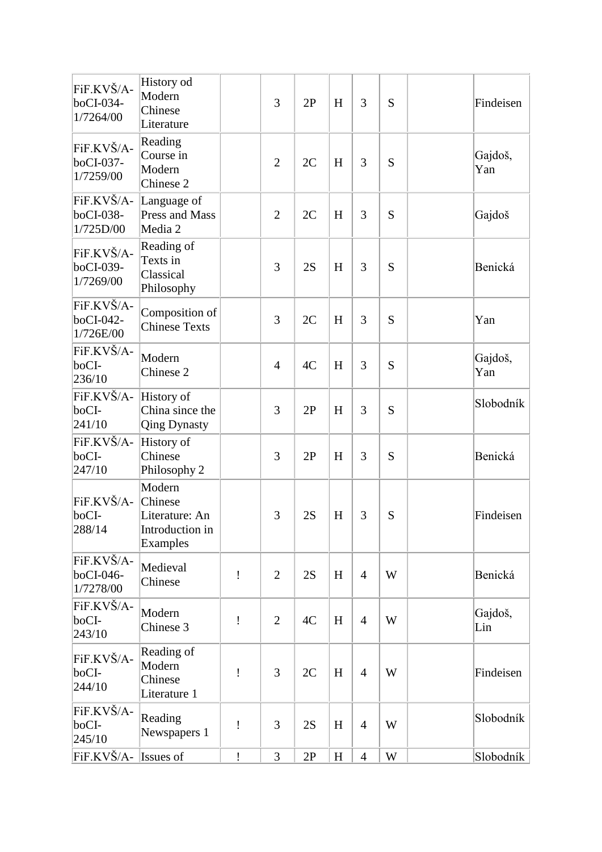| FiF.KVŠ/A-<br>boCI-034-<br>1/7264/00 | History od<br>Modern<br>Chinese<br>Literature                      |   | 3              | 2P | H | 3              | S | Findeisen      |
|--------------------------------------|--------------------------------------------------------------------|---|----------------|----|---|----------------|---|----------------|
| FiF.KVŠ/A-<br>boCI-037-<br>1/7259/00 | Reading<br>Course in<br>Modern<br>Chinese 2                        |   | $\overline{2}$ | 2C | H | 3              | S | Gajdoš,<br>Yan |
| FiF.KVŠ/A-<br>boCI-038-<br>1/725D/00 | Language of<br>Press and Mass<br>Media 2                           |   | $\overline{2}$ | 2C | H | 3              | S | Gajdoš         |
| FiF.KVŠ/A-<br>boCI-039-<br>1/7269/00 | Reading of<br>Texts in<br>Classical<br>Philosophy                  |   | 3              | 2S | H | 3              | S | Benická        |
| FiF.KVŠ/A-<br>boCI-042-<br>1/726E/00 | Composition of<br><b>Chinese Texts</b>                             |   | 3              | 2C | H | 3              | S | Yan            |
| FiF.KVŠ/A-<br>boCI-<br>236/10        | Modern<br>Chinese <sub>2</sub>                                     |   | $\overline{4}$ | 4C | H | 3              | S | Gajdoš,<br>Yan |
| FiF.KVŠ/A-<br>boCI-<br>241/10        | History of<br>China since the<br><b>Qing Dynasty</b>               |   | 3              | 2P | H | 3              | S | Slobodník      |
| FiF.KVŠ/A-<br>boCI-<br>247/10        | History of<br>Chinese<br>Philosophy 2                              |   | 3              | 2P | H | 3              | S | Benická        |
| FiF.KVŠ/A-<br>boCI-<br>288/14        | Modern<br>Chinese<br>Literature: An<br>Introduction in<br>Examples |   | 3              | 2S | H | 3              | S | Findeisen      |
| FiF.KVŠ/A-<br>boCI-046-<br>1/7278/00 | Medieval<br>Chinese                                                | ı | $\overline{2}$ | 2S | H | $\overline{4}$ | W | Benická        |
| FiF.KVŠ/A-<br>boCI-<br>243/10        | Modern<br>Chinese 3                                                | Ţ | $\overline{2}$ | 4C | H | $\overline{4}$ | W | Gajdoš,<br>Lin |
| FiF.KVŠ/A-<br>boCI-<br>244/10        | Reading of<br>Modern<br>Chinese<br>Literature 1                    | Ţ | 3              | 2C | H | $\overline{4}$ | W | Findeisen      |
| FiF.KVŠ/A-<br>boCI-<br>245/10        | Reading<br>Newspapers 1                                            | ı | 3              | 2S | H | $\overline{4}$ | W | Slobodník      |
| FiF.KVŠ/A-                           | Issues of                                                          | Ţ | 3              | 2P | H | $\overline{4}$ | W | Slobodník      |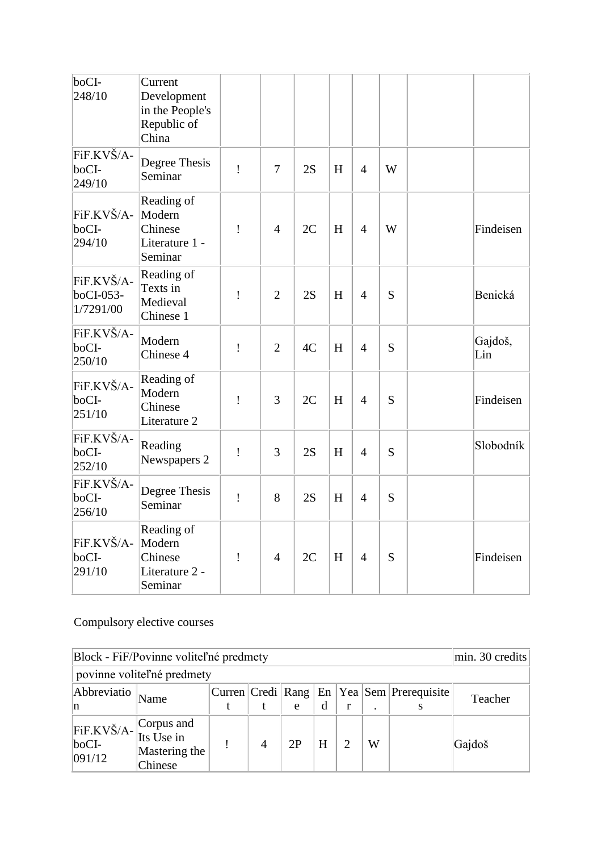| boCI-<br>248/10                      | Current<br>Development<br>in the People's<br>Republic of<br>China |   |                |    |   |                |   |                |
|--------------------------------------|-------------------------------------------------------------------|---|----------------|----|---|----------------|---|----------------|
| FiF.KVŠ/A-<br>boCI-<br>249/10        | Degree Thesis<br>Seminar                                          | Ţ | $\overline{7}$ | 2S | H | $\overline{4}$ | W |                |
| FiF.KVŠ/A-<br>boCI-<br>294/10        | Reading of<br>Modern<br>Chinese<br>Literature 1 -<br>Seminar      | ļ | $\overline{4}$ | 2C | H | $\overline{4}$ | W | Findeisen      |
| FiF.KVŠ/A-<br>boCI-053-<br>1/7291/00 | Reading of<br>Texts in<br>Medieval<br>Chinese 1                   | Ţ | $\overline{2}$ | 2S | H | $\overline{4}$ | S | Benická        |
| FiF.KVŠ/A-<br>boCI-<br>250/10        | Modern<br>Chinese 4                                               | Ţ | $\overline{2}$ | 4C | H | $\overline{4}$ | S | Gajdoš,<br>Lin |
| FiF.KVŠ/A-<br>boCI-<br>251/10        | Reading of<br>Modern<br>Chinese<br>Literature 2                   | Ţ | 3              | 2C | H | $\overline{4}$ | S | Findeisen      |
| FiF.KVŠ/A-<br>boCI-<br>252/10        | Reading<br>Newspapers 2                                           | ļ | 3              | 2S | H | $\overline{4}$ | S | Slobodník      |
| FiF.KVŠ/A-<br>boCI-<br>256/10        | Degree Thesis<br>Seminar                                          | Ţ | 8              | 2S | H | $\overline{4}$ | S |                |
| FiF.KVŠ/A-<br>boCI-<br>291/10        | Reading of<br>Modern<br>Chinese<br>Literature 2 -<br>Seminar      | ļ | $\overline{4}$ | 2C | H | $\overline{4}$ | S | Findeisen      |

## Compulsory elective courses

| Block - FiF/Povinne voliteľné predmety                        |                          | min. 30 credits |                |    |   |  |           |                                                     |         |  |
|---------------------------------------------------------------|--------------------------|-----------------|----------------|----|---|--|-----------|-----------------------------------------------------|---------|--|
| povinne voliteľné predmety                                    |                          |                 |                |    |   |  |           |                                                     |         |  |
| Abbreviatio<br>n                                              | Name                     |                 |                | e  | d |  | $\bullet$ | Curren Credi   Rang   En   Yea   Sem   Prerequisite | Teacher |  |
| FiF.KVŠ/A- Corpus and<br>Its Use in<br>$\rm boCI$ -<br>091/12 | Mastering the<br>Chinese |                 | $\overline{4}$ | 2P | H |  | W         |                                                     | Gajdoš  |  |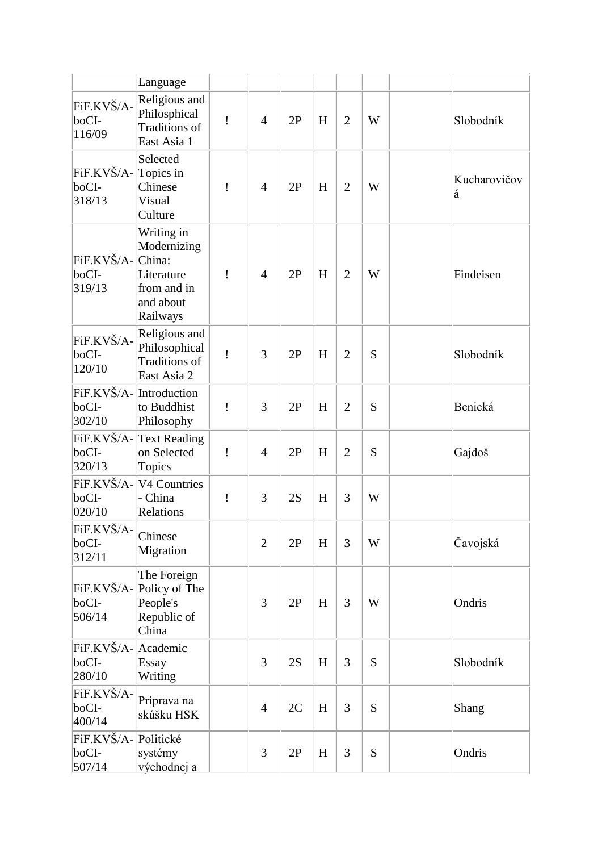|                                        | Language                                                                                  |   |                |    |   |                |   |                   |
|----------------------------------------|-------------------------------------------------------------------------------------------|---|----------------|----|---|----------------|---|-------------------|
| FiF.KVŠ/A-<br>boCI-<br>116/09          | Religious and<br>Philosphical<br>Traditions of<br>East Asia 1                             | ï | $\overline{4}$ | 2P | H | $\overline{2}$ | W | Slobodník         |
| FiF.KVŠ/A-<br>boCI-<br>318/13          | Selected<br>Topics in<br>Chinese<br>Visual<br>Culture                                     | ı | $\overline{4}$ | 2P | H | $\overline{2}$ | W | Kucharovičov<br>á |
| FiF.KVŠ/A-<br>boCI-<br>319/13          | Writing in<br>Modernizing<br>China:<br>Literature<br>from and in<br>and about<br>Railways | Ţ | $\overline{4}$ | 2P | H | $\overline{2}$ | W | Findeisen         |
| FiF.KVŠ/A-<br>boCI-<br>120/10          | Religious and<br>Philosophical<br>Traditions of<br>East Asia 2                            | Ţ | 3              | 2P | H | $\overline{2}$ | S | Slobodník         |
| boCI-<br>302/10                        | FiF.KVŠ/A-Introduction<br>to Buddhist<br>Philosophy                                       | Ţ | 3              | 2P | H | $\overline{2}$ | S | Benická           |
| FiF.KVŠ/A-<br>boCI-<br>320/13          | Text Reading<br>on Selected<br>Topics                                                     | Ţ | $\overline{4}$ | 2P | H | $\overline{2}$ | S | Gajdoš            |
| boCI-<br>020/10                        | FiF.KVŠ/A- V4 Countries<br>- China<br>Relations                                           | Ţ | 3              | 2S | H | 3              | W |                   |
| FiF.KVŠ/A-<br>boCI-<br>312/11          | Chinese<br>Migration                                                                      |   | $\overline{2}$ | 2P | H | 3              | W | Čavojská          |
| boCI-<br>506/14                        | The Foreign<br>FiF.KVŠ/A- Policy of The<br>People's<br>Republic of<br>China               |   | 3              | 2P | H | 3              | W | Ondris            |
| FiF.KVŠ/A-<br>boCI-<br>280/10          | Academic<br>Essay<br>Writing                                                              |   | 3              | 2S | H | $\overline{3}$ | S | Slobodník         |
| FiF.KVŠ/A-<br>boCI-<br>400/14          | Príprava na<br>skúšku HSK                                                                 |   | $\overline{4}$ | 2C | H | 3              | S | <b>Shang</b>      |
| FiF.KVŠ/A-Politické<br>boCI-<br>507/14 | systémy<br>východnej a                                                                    |   | 3              | 2P | H | 3              | S | Ondris            |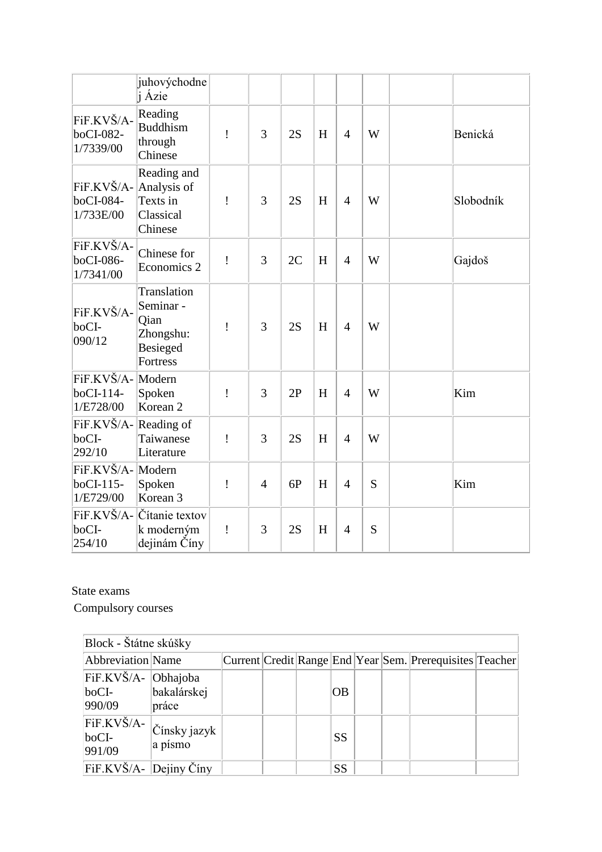|                                                  | juhovýchodne<br>j Ázie                                                       |   |                |    |   |                |   |           |
|--------------------------------------------------|------------------------------------------------------------------------------|---|----------------|----|---|----------------|---|-----------|
| FiF.KVŠ/A-<br>boCI-082-<br>1/7339/00             | Reading<br><b>Buddhism</b><br>through<br>Chinese                             | Ţ | 3              | 2S | H | $\overline{4}$ | W | Benická   |
| FiF.KVŠ/A- Analysis of<br>boCI-084-<br>1/733E/00 | Reading and<br>Texts in<br>Classical<br>Chinese                              | Ţ | 3              | 2S | H | $\overline{4}$ | W | Slobodník |
| FiF.KVŠ/A-<br>boCI-086-<br>1/7341/00             | Chinese for<br>Economics 2                                                   | Ţ | 3              | 2C | H | $\overline{4}$ | W | Gajdoš    |
| FiF.KVŠ/A-<br>boCI-<br>090/12                    | Translation<br>Seminar -<br>Qian<br>Zhongshu:<br>Besieged<br><b>Fortress</b> | ļ | 3              | 2S | H | $\overline{4}$ | W |           |
| FiF.KVŠ/A- Modern<br>$boCI-114-$<br>1/E728/00    | Spoken<br>Korean <sub>2</sub>                                                | İ | 3              | 2P | H | $\overline{4}$ | W | Kim       |
| FiF.KVŠ/A-Reading of<br>boCI-<br>292/10          | Taiwanese<br>Literature                                                      | Ţ | 3              | 2S | H | $\overline{4}$ | W |           |
| FiF.KVŠ/A-Modern<br>$boCI-115-$<br>1/E729/00     | Spoken<br>Korean <sub>3</sub>                                                | Ţ | $\overline{4}$ | 6P | H | $\overline{4}$ | S | Kim       |
| FiF.KVŠ/A-<br>boCI-<br>254/10                    | Čítanie textov<br>k moderným<br>dejinám Číny                                 | Ţ | 3              | 2S | H | $\overline{4}$ | S |           |

State exams

Compulsory courses

| Block - Štátne skúšky                         |                           |  |           |  |                                                          |  |
|-----------------------------------------------|---------------------------|--|-----------|--|----------------------------------------------------------|--|
| Abbreviation Name                             |                           |  |           |  | Current Credit Range End Year Sem. Prerequisites Teacher |  |
| FiF.KVŠ/A- Obhajoba<br>$\rm boCI$ -<br>990/09 | bakalárskej<br>práce      |  | <b>OB</b> |  |                                                          |  |
| FiF.KVŠ/A-<br>$\rm boCI$ -<br>991/09          | Čínsky jazyk '<br>a písmo |  | <b>SS</b> |  |                                                          |  |
| $\overline{F}$ iF.KVŠ/A- Dejiny Číny          |                           |  | <b>SS</b> |  |                                                          |  |